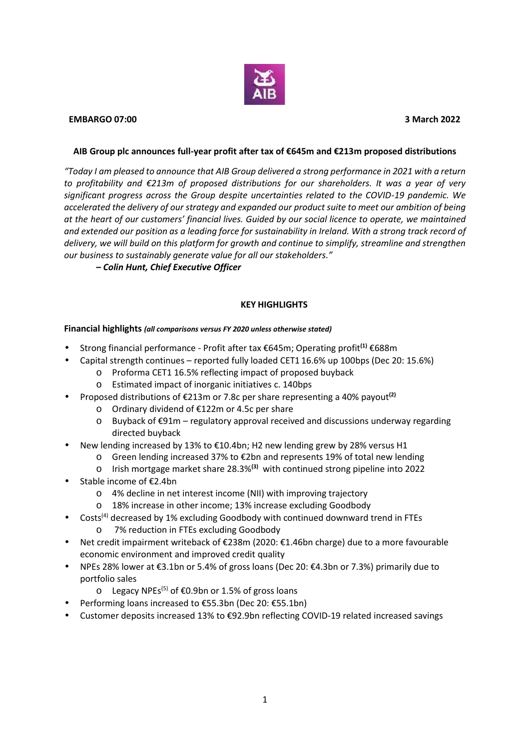

# **EMBARGO 07:00 3 March 2022**

## **AIB Group plc announces full-year profit after tax of€645m and €213m proposed distributions**

*"Today I am pleased to announce that AIB Group delivered a strong performance in 2021 with a return to profitability and €213m of proposed distributions for our shareholders. It was a year of very significant progress across the Group despite uncertainties related to the COVID-19 pandemic. We accelerated the delivery of our strategy and expanded our product suite to meet our ambition of being at the heart of our customers' financial lives. Guided by our social licence to operate, we maintained and extended our position as a leading force for sustainability in Ireland. With a strong track record of delivery, we will build on this platform for growth and continue to simplify, streamline and strengthen our business to sustainably generate value for all our stakeholders."*

*– Colin Hunt, Chief Executive Officer*

# **KEY HIGHLIGHTS**

## **Financial highlights** *(all comparisons versus FY 2020 unless otherwise stated)*

- Strong financial performance Profit after tax €645m; Operating profit**(1)** €688m
- Capital strength continues reported fully loaded CET1 16.6% up 100bps (Dec 20: 15.6%)
	- o Proforma CET1 16.5% reflecting impact of proposed buyback
	- o Estimated impact of inorganic initiatives c. 140bps
- Proposed distributions of €213m or 7.8c per share representing a 40% payout**(2)**
	- o Ordinary dividend of €122m or 4.5c per share
	- o Buyback of€91m regulatory approval received and discussions underway regarding directed buyback
- New lending increased by 13% to €10.4bn; H2 new lending grew by 28% versus H1
	- o Green lending increased 37% to €2bn and represents 19% of total new lending
	- o Irish mortgage market share 28.3%**(3)** with continued strong pipeline into 2022
- Stable income of €2.4bn
	- o 4% decline in net interest income (NII) with improving trajectory
	- o 18% increase in other income; 13% increase excluding Goodbody
- Costs<sup>(4)</sup> decreased by 1% excluding Goodbody with continued downward trend in FTEs
	- o 7% reduction in FTEs excluding Goodbody
- Net credit impairment writeback of€238m (2020: €1.46bn charge) due to a more favourable economic environment and improved credit quality
- NPEs 28% lower at €3.1bn or 5.4% of gross loans (Dec 20: €4.3bn or 7.3%) primarily due to portfolio sales
	- o Legacy NPEs<sup>(5)</sup> of €0.9bn or 1.5% of gross loans
- Performing loans increased to €55.3bn (Dec 20: €55.1bn)
- Customer deposits increased 13% to €92.9bn reflecting COVID-19 related increased savings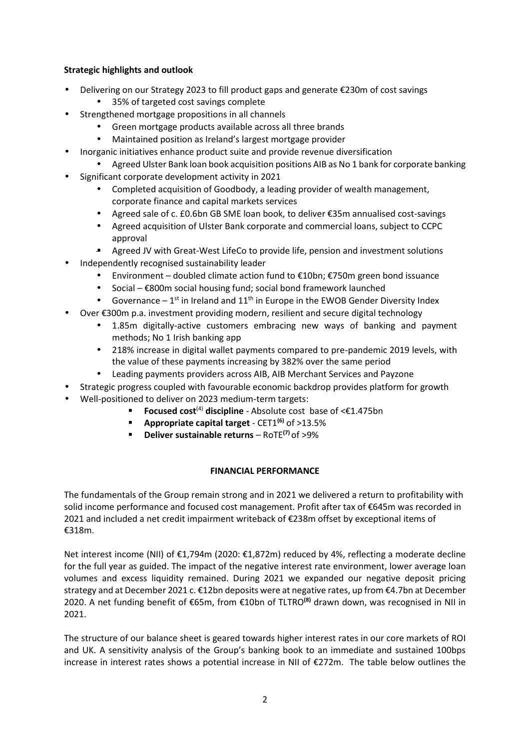# **Strategic highlights and outlook**

- Delivering on our Strategy 2023 to fill product gaps and generate €230m of cost savings
	- 35% of targeted cost savings complete
- Strengthened mortgage propositions in all channels
	- Green mortgage products available across all three brands
	- Maintained position as Ireland's largest mortgage provider
	- Inorganic initiatives enhance product suite and provide revenue diversification
		- Agreed Ulster Bank loan book acquisition positions AIB as No 1 bank for corporate banking
- Significant corporate development activity in 2021
	- Completed acquisition of Goodbody, a leading provider of wealth management, corporate finance and capital markets services
	- Agreed sale of c. £0.6bn GB SME loan book, to deliver €35m annualised cost-savings
	- Agreed acquisition of Ulster Bank corporate and commercial loans, subject to CCPC approval
	- Agreed JV with Great-West LifeCo to provide life, pension and investment solutions
- Independently recognised sustainability leader
	- Environment doubled climate action fund to €10bn; €750m green bond issuance
	- Social €800m social housing fund; social bond framework launched
	- Governance  $1^{st}$  in Ireland and  $11^{th}$  in Europe in the EWOB Gender Diversity Index
- Over €300m p.a. investment providing modern, resilient and secure digital technology
	- 1.85m digitally-active customers embracing new ways of banking and payment methods; No 1 Irish banking app
	- 218% increase in digital wallet payments compared to pre-pandemic 2019 levels, with the value of these payments increasing by 382% over the same period
	- Leading payments providers across AIB, AIB Merchant Services and Payzone
	- Strategic progress coupled with favourable economic backdrop provides platform for growth
- Well-positioned to deliver on 2023 medium-term targets:
	- **Focused cost**<sup>(4)</sup> discipline Absolute cost base of <€1.475bn
	- **Appropriate capital target** CET1**(6)** of >13.5%
		- **Deliver sustainable returns** RoTE**(7)** of >9%

## **FINANCIAL PERFORMANCE**

The fundamentals of the Group remain strong and in 2021 we delivered a return to profitability with solid income performance and focused cost management. Profit after tax of €645m was recorded in 2021 and included a net credit impairment writeback of €238m offset by exceptional items of €318m.

Net interest income (NII) of €1,794m (2020: €1,872m) reduced by 4%, reflecting a moderate decline for the full year as guided. The impact of the negative interest rate environment, lower average loan volumes and excess liquidity remained. During 2021 we expanded our negative deposit pricing strategy and at December 2021 c. €12bn deposits were at negative rates, up from €4.7bn at December 2020. A net funding benefit of €65m, from €10bn of TLTRO**(8)** drawn down, was recognised in NII in 2021.

The structure of our balance sheet is geared towards higher interest rates in our core markets of ROI and UK. A sensitivity analysis of the Group's banking book to an immediate and sustained 100bps increase in interest rates shows a potential increase in NII of €272m. The table below outlines the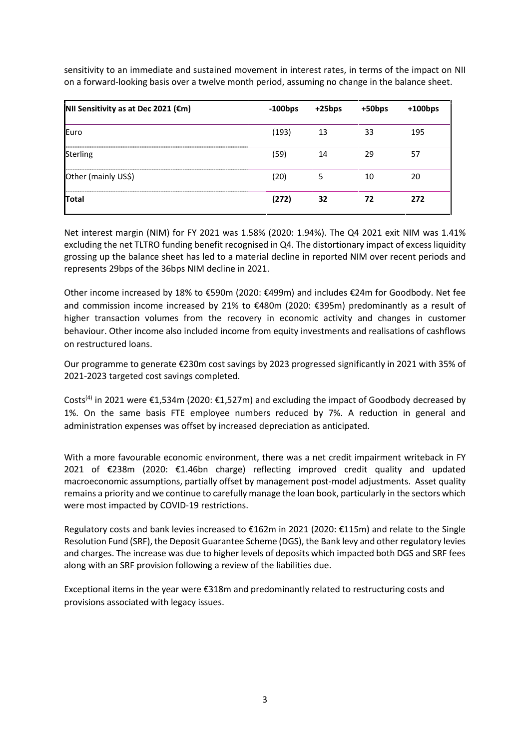sensitivity to an immediate and sustained movement in interest rates, in terms of the impact on NII on a forward-looking basis over a twelve month period, assuming no change in the balance sheet.

| NII Sensitivity as at Dec 2021 (€m) | $-100bps$ | $+25$ bps | $+50bps$ | $+100$ bps |
|-------------------------------------|-----------|-----------|----------|------------|
| Euro                                | (193)     | 13        | 33       | 195        |
| <b>Sterling</b>                     | (59)      | 14        | 29       | 57         |
| Other (mainly US\$)                 | (20)      | 5         | 10       | 20         |
| Total                               | (272)     | 32        | 72       | 272        |

Net interest margin (NIM) for FY 2021 was 1.58% (2020: 1.94%). The Q4 2021 exit NIM was 1.41% excluding the net TLTRO funding benefit recognised in Q4. The distortionary impact of excess liquidity grossing up the balance sheet has led to a material decline in reported NIM over recent periods and represents 29bps of the 36bps NIM decline in 2021.

Other income increased by 18% to €590m (2020: €499m) and includes €24m for Goodbody. Net fee and commission income increased by 21% to €480m (2020: €395m) predominantly as a result of higher transaction volumes from the recovery in economic activity and changes in customer behaviour. Other income also included income from equity investments and realisations of cashflows on restructured loans.

Our programme to generate €230m cost savings by 2023 progressed significantly in 2021 with 35% of 2021-2023 targeted cost savings completed.

Costs<sup>(4)</sup> in 2021 were  $\epsilon$ 1,534m (2020:  $\epsilon$ 1,527m) and excluding the impact of Goodbody decreased by 1%. On the same basis FTE employee numbers reduced by 7%. A reduction in general and administration expenses was offset by increased depreciation as anticipated.

With a more favourable economic environment, there was a net credit impairment writeback in FY 2021 of €238m (2020: €1.46bn charge) reflecting improved credit quality and updated macroeconomic assumptions, partially offset by management post-model adjustments. Asset quality remains a priority and we continue to carefully manage the loan book, particularly in the sectors which were most impacted by COVID-19 restrictions.

Regulatory costs and bank levies increased to €162m in 2021 (2020: €115m) and relate to the Single Resolution Fund (SRF), the Deposit Guarantee Scheme (DGS), the Bank levy and other regulatory levies and charges. The increase was due to higher levels of deposits which impacted both DGS and SRF fees along with an SRF provision following a review of the liabilities due.

Exceptional items in the year were €318m and predominantly related to restructuring costs and provisions associated with legacy issues.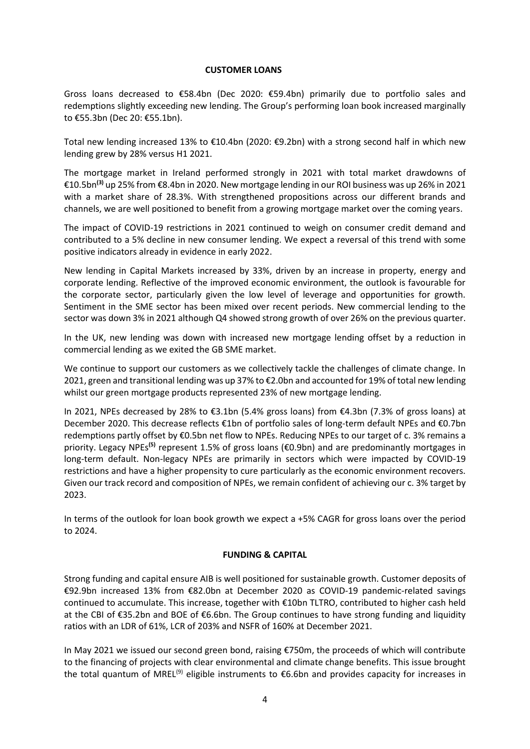#### **CUSTOMER LOANS**

Gross loans decreased to €58.4bn (Dec 2020: €59.4bn) primarily due to portfolio sales and redemptions slightly exceeding new lending. The Group's performing loan book increased marginally to €55.3bn (Dec 20: €55.1bn).

Total new lending increased 13% to €10.4bn (2020: €9.2bn) with a strong second half in which new lending grew by 28% versus H1 2021.

The mortgage market in Ireland performed strongly in 2021 with total market drawdowns of €10.5bn**(3)** up 25% from €8.4bn in 2020. New mortgage lending in our ROI business was up 26% in 2021 with a market share of 28.3%. With strengthened propositions across our different brands and channels, we are well positioned to benefit from a growing mortgage market over the coming years.

The impact of COVID-19 restrictions in 2021 continued to weigh on consumer credit demand and contributed to a 5% decline in new consumer lending. We expect a reversal of this trend with some positive indicators already in evidence in early 2022.

New lending in Capital Markets increased by 33%, driven by an increase in property, energy and corporate lending. Reflective of the improved economic environment, the outlook is favourable for the corporate sector, particularly given the low level of leverage and opportunities for growth. Sentiment in the SME sector has been mixed over recent periods. New commercial lending to the sector was down 3% in 2021 although Q4 showed strong growth of over 26% on the previous quarter.

In the UK, new lending was down with increased new mortgage lending offset by a reduction in commercial lending as we exited the GB SME market.

We continue to support our customers as we collectively tackle the challenges of climate change. In 2021, green and transitional lending was up 37% to €2.0bn and accounted for 19% of total new lending whilst our green mortgage products represented 23% of new mortgage lending.

In 2021, NPEs decreased by 28% to €3.1bn (5.4% gross loans) from €4.3bn (7.3% of gross loans) at December 2020. This decrease reflects €1bn of portfolio sales of long-term default NPEs and €0.7bn redemptions partly offset by €0.5bn net flow to NPEs. Reducing NPEs to our target of c. 3% remains a priority. Legacy NPEs**(5)** represent 1.5% of gross loans (€0.9bn) and are predominantly mortgages in long-term default. Non-legacy NPEs are primarily in sectors which were impacted by COVID-19 restrictions and have a higher propensity to cure particularly as the economic environment recovers. Given our track record and composition of NPEs, we remain confident of achieving our c. 3% target by 2023.

In terms of the outlook for loan book growth we expect a +5% CAGR for gross loans over the period to 2024.

# **FUNDING & CAPITAL**

Strong funding and capital ensure AIB is well positioned for sustainable growth. Customer deposits of €92.9bn increased 13% from €82.0bn at December 2020 as COVID-19 pandemic-related savings continued to accumulate. This increase, together with €10bn TLTRO, contributed to higher cash held at the CBI of €35.2bn and BOE of €6.6bn. The Group continues to have strong funding and liquidity ratios with an LDR of 61%, LCR of 203% and NSFR of 160% at December 2021.

In May 2021 we issued our second green bond, raising €750m, the proceeds of which will contribute to the financing of projects with clear environmental and climate change benefits. This issue brought the total quantum of MREL<sup>(9)</sup> eligible instruments to  $\epsilon$ 6.6bn and provides capacity for increases in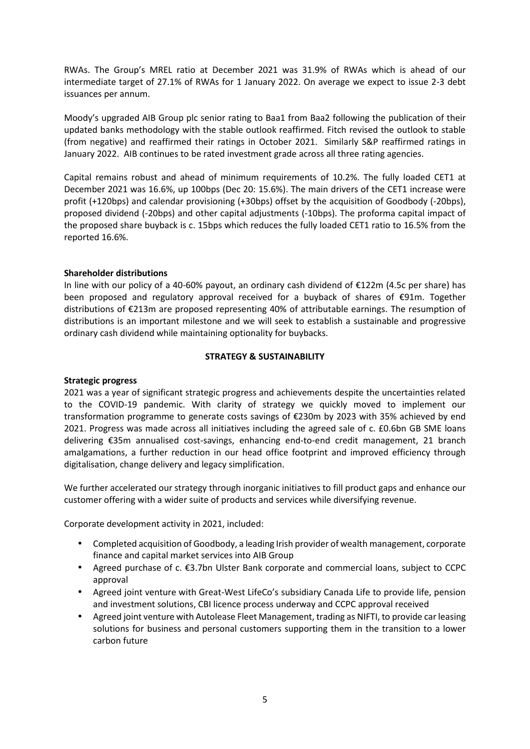RWAs. The Group's MREL ratio at December 2021 was 31.9% of RWAs which is ahead of our intermediate target of 27.1% of RWAs for 1 January 2022. On average we expect to issue 2-3 debt issuances per annum.

Moody's upgraded AIB Group plc senior rating to Baa1 from Baa2 following the publication of their updated banks methodology with the stable outlook reaffirmed. Fitch revised the outlook to stable (from negative) and reaffirmed their ratings in October 2021. Similarly S&P reaffirmed ratings in January 2022. AIB continues to be rated investment grade across all three rating agencies.

Capital remains robust and ahead of minimum requirements of 10.2%. The fully loaded CET1 at December 2021 was 16.6%, up 100bps (Dec 20: 15.6%). The main drivers of the CET1 increase were profit (+120bps) and calendar provisioning (+30bps) offset by the acquisition of Goodbody (-20bps), proposed dividend (-20bps) and other capital adjustments (-10bps). The proforma capital impact of the proposed share buyback is c. 15bps which reduces the fully loaded CET1 ratio to 16.5% from the reported 16.6%.

## **Shareholder distributions**

In line with our policy of a 40-60% payout, an ordinary cash dividend of €122m (4.5c per share) has been proposed and regulatory approval received for a buyback of shares of €91m. Together distributions of €213m are proposed representing 40% of attributable earnings. The resumption of distributions is an important milestone and we will seek to establish a sustainable and progressive ordinary cash dividend while maintaining optionality for buybacks.

# **STRATEGY & SUSTAINABILITY**

## **Strategic progress**

2021 was a year of significant strategic progress and achievements despite the uncertainties related to the COVID-19 pandemic. With clarity of strategy we quickly moved to implement our transformation programme to generate costs savings of €230m by 2023 with 35% achieved by end 2021. Progress was made across all initiatives including the agreed sale of c. £0.6bn GB SME loans delivering €35m annualised cost-savings, enhancing end-to-end credit management, 21 branch amalgamations, a further reduction in our head office footprint and improved efficiency through digitalisation, change delivery and legacy simplification.

We further accelerated our strategy through inorganic initiatives to fill product gaps and enhance our customer offering with a wider suite of products and services while diversifying revenue.

Corporate development activity in 2021, included:

- Completed acquisition of Goodbody, a leading Irish provider of wealth management, corporate finance and capital market services into AIB Group
- Agreed purchase of c. €3.7bn Ulster Bank corporate and commercial loans, subject to CCPC approval
- Agreed joint venture with Great-West LifeCo's subsidiary Canada Life to provide life, pension and investment solutions, CBI licence process underway and CCPC approval received
- Agreed joint venture with Autolease Fleet Management, trading as NIFTI, to provide car leasing solutions for business and personal customers supporting them in the transition to a lower carbon future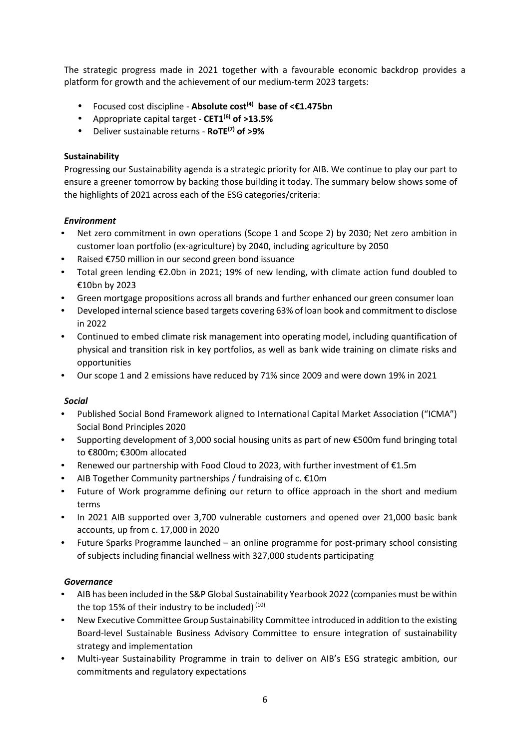The strategic progress made in 2021 together with a favourable economic backdrop provides a platform for growth and the achievement of our medium-term 2023 targets:

- Focused cost discipline **Absolute cost(4) base of <€1.475bn**
- Appropriate capital target **CET1(6) of >13.5%**
- Deliver sustainable returns **RoTE(7) of >9%**

# **Sustainability**

Progressing our Sustainability agenda is a strategic priority for AIB. We continue to play our part to ensure a greener tomorrow by backing those building it today. The summary below shows some of the highlights of 2021 across each of the ESG categories/criteria:

# *Environment*

- Net zero commitment in own operations (Scope 1 and Scope 2) by 2030; Net zero ambition in customer loan portfolio (ex-agriculture) by 2040, including agriculture by 2050
- Raised €750 million in our second green bond issuance
- Total green lending €2.0bn in 2021; 19% of new lending, with climate action fund doubled to €10bn by 2023
- Green mortgage propositions across all brands and further enhanced our green consumer loan
- Developed internalscience based targets covering 63% of loan book and commitment to disclose in 2022
- Continued to embed climate risk management into operating model, including quantification of physical and transition risk in key portfolios, as well as bank wide training on climate risks and opportunities
- Our scope 1 and 2 emissions have reduced by 71% since 2009 and were down 19% in 2021

## *Social*

- Published Social Bond Framework aligned to International Capital Market Association ("ICMA") Social Bond Principles 2020
- Supporting development of 3,000 social housing units as part of new €500m fund bringing total to €800m; €300m allocated
- Renewed our partnership with Food Cloud to 2023, with further investment of €1.5m
- AIB Together Community partnerships / fundraising of c.  $£10m$
- Future of Work programme defining our return to office approach in the short and medium terms
- In 2021 AIB supported over 3,700 vulnerable customers and opened over 21,000 basic bank accounts, up from c. 17,000 in 2020
- Future Sparks Programme launched an online programme for post-primary school consisting of subjects including financial wellness with 327,000 students participating

## *Governance*

- AIB has been included in the S&P Global Sustainability Yearbook 2022 (companies must be within the top 15% of their industry to be included) (10)
- New Executive Committee Group Sustainability Committee introduced in addition to the existing Board-level Sustainable Business Advisory Committee to ensure integration of sustainability strategy and implementation
- Multi-year Sustainability Programme in train to deliver on AIB's ESG strategic ambition, our commitments and regulatory expectations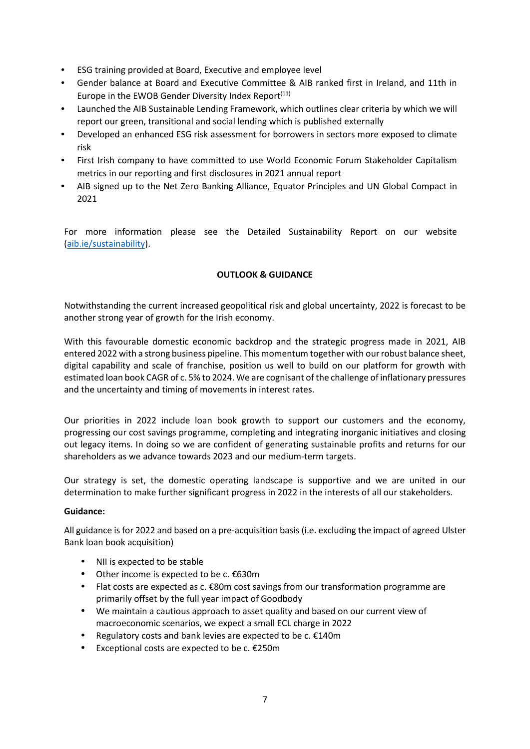- ESG training provided at Board, Executive and employee level
- Gender balance at Board and Executive Committee & AIB ranked first in Ireland, and 11th in Europe in the EWOB Gender Diversity Index Report<sup>(11)</sup>
- Launched the AIB Sustainable Lending Framework, which outlines clear criteria by which we will report our green, transitional and social lending which is published externally
- Developed an enhanced ESG risk assessment for borrowers in sectors more exposed to climate risk
- First Irish company to have committed to use World Economic Forum Stakeholder Capitalism metrics in our reporting and first disclosures in 2021 annual report
- AIB signed up to the Net Zero Banking Alliance, Equator Principles and UN Global Compact in 2021

For more information please see the Detailed Sustainability Report on our website (aib.ie/sustainability).

# **OUTLOOK & GUIDANCE**

Notwithstanding the current increased geopolitical risk and global uncertainty, 2022 is forecast to be another strong year of growth for the Irish economy.

With this favourable domestic economic backdrop and the strategic progress made in 2021, AIB entered 2022 with a strong business pipeline. This momentum together with ourrobust balance sheet, digital capability and scale of franchise, position us well to build on our platform for growth with estimated loan book CAGR of c. 5% to 2024. We are cognisant ofthe challenge of inflationary pressures and the uncertainty and timing of movements in interest rates.

Our priorities in 2022 include loan book growth to support our customers and the economy, progressing our cost savings programme, completing and integrating inorganic initiatives and closing out legacy items. In doing so we are confident of generating sustainable profits and returns for our shareholders as we advance towards 2023 and our medium-term targets.

Our strategy is set, the domestic operating landscape is supportive and we are united in our determination to make further significant progress in 2022 in the interests of all our stakeholders.

## **Guidance:**

All guidance is for 2022 and based on a pre-acquisition basis (i.e. excluding the impact of agreed Ulster Bank loan book acquisition)

- NII is expected to be stable
- Other income is expected to be c. €630m
- Flat costs are expected as c. €80m cost savings from our transformation programme are primarily offset by the full year impact of Goodbody
- We maintain a cautious approach to asset quality and based on our current view of macroeconomic scenarios, we expect a small ECL charge in 2022
- **•** Regulatory costs and bank levies are expected to be c.  $£140m$
- Exceptional costs are expected to be c. €250m